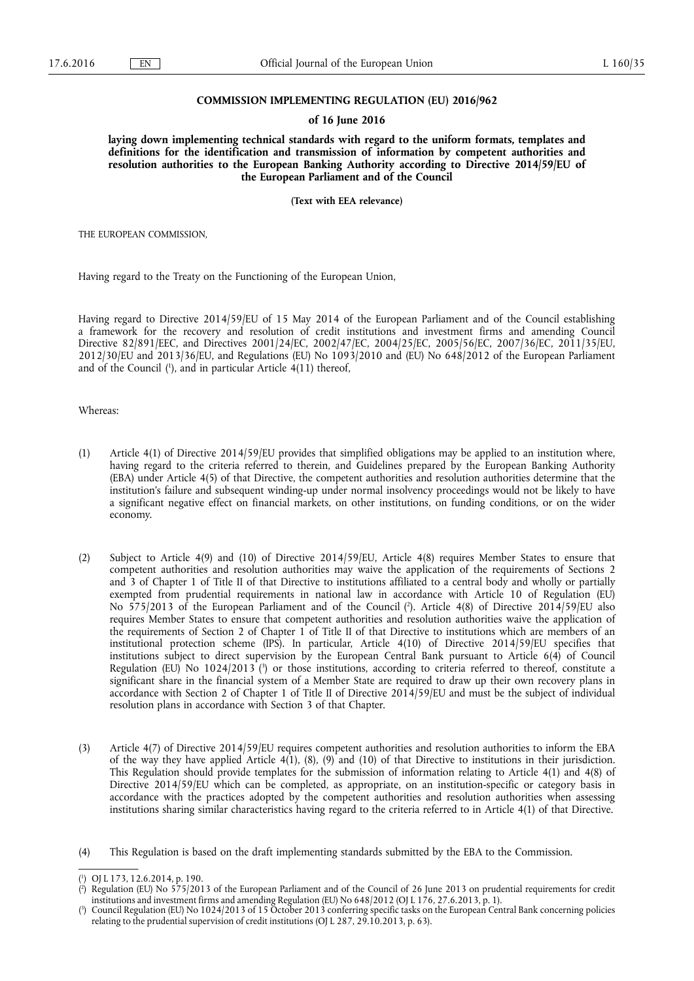#### **COMMISSION IMPLEMENTING REGULATION (EU) 2016/962**

#### **of 16 June 2016**

**laying down implementing technical standards with regard to the uniform formats, templates and definitions for the identification and transmission of information by competent authorities and resolution authorities to the European Banking Authority according to Directive 2014/59/EU of the European Parliament and of the Council** 

**(Text with EEA relevance)** 

THE EUROPEAN COMMISSION,

Having regard to the Treaty on the Functioning of the European Union,

Having regard to Directive 2014/59/EU of 15 May 2014 of the European Parliament and of the Council establishing a framework for the recovery and resolution of credit institutions and investment firms and amending Council Directive 82/891/EEC, and Directives 2001/24/EC, 2002/47/EC, 2004/25/EC, 2005/56/EC, 2007/36/EC, 2011/35/EU, 2012/30/EU and 2013/36/EU, and Regulations (EU) No 1093/2010 and (EU) No 648/2012 of the European Parliament and of the Council ( 1 ), and in particular Article 4(11) thereof,

Whereas:

- (1) Article 4(1) of Directive 2014/59/EU provides that simplified obligations may be applied to an institution where, having regard to the criteria referred to therein, and Guidelines prepared by the European Banking Authority (EBA) under Article 4(5) of that Directive, the competent authorities and resolution authorities determine that the institution's failure and subsequent winding-up under normal insolvency proceedings would not be likely to have a significant negative effect on financial markets, on other institutions, on funding conditions, or on the wider economy.
- (2) Subject to Article 4(9) and (10) of Directive 2014/59/EU, Article 4(8) requires Member States to ensure that competent authorities and resolution authorities may waive the application of the requirements of Sections 2 and 3 of Chapter 1 of Title II of that Directive to institutions affiliated to a central body and wholly or partially exempted from prudential requirements in national law in accordance with Article 10 of Regulation (EU) No 575/2013 of the European Parliament and of the Council ( 2 ). Article 4(8) of Directive 2014/59/EU also requires Member States to ensure that competent authorities and resolution authorities waive the application of the requirements of Section 2 of Chapter 1 of Title II of that Directive to institutions which are members of an institutional protection scheme (IPS). In particular, Article 4(10) of Directive 2014/59/EU specifies that institutions subject to direct supervision by the European Central Bank pursuant to Article 6(4) of Council Regulation (EU) No 1024/2013 ( 3 ) or those institutions, according to criteria referred to thereof, constitute a significant share in the financial system of a Member State are required to draw up their own recovery plans in accordance with Section 2 of Chapter 1 of Title II of Directive 2014/59/EU and must be the subject of individual resolution plans in accordance with Section 3 of that Chapter.
- (3) Article 4(7) of Directive 2014/59/EU requires competent authorities and resolution authorities to inform the EBA of the way they have applied Article 4(1), (8), (9) and (10) of that Directive to institutions in their jurisdiction. This Regulation should provide templates for the submission of information relating to Article 4(1) and 4(8) of Directive 2014/59/EU which can be completed, as appropriate, on an institution-specific or category basis in accordance with the practices adopted by the competent authorities and resolution authorities when assessing institutions sharing similar characteristics having regard to the criteria referred to in Article 4(1) of that Directive.
- (4) This Regulation is based on the draft implementing standards submitted by the EBA to the Commission.

<sup>(</sup> 1 ) OJ L 173, 12.6.2014, p. 190.

<sup>(</sup> 2 ) Regulation (EU) No 575/2013 of the European Parliament and of the Council of 26 June 2013 on prudential requirements for credit institutions and investment firms and amending Regulation (EU) No 648/2012 (OJ L 176, 27.6.2013, p. 1).

<sup>(</sup> 3 ) Council Regulation (EU) No 1024/2013 of 15 October 2013 conferring specific tasks on the European Central Bank concerning policies relating to the prudential supervision of credit institutions (OJ L 287, 29.10.2013, p. 63).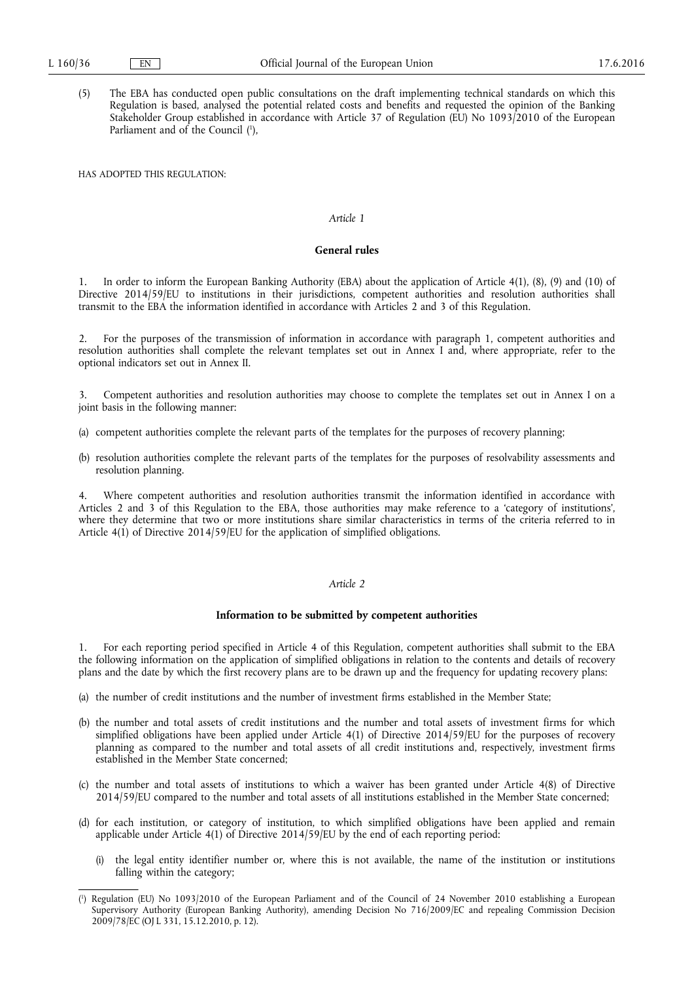(5) The EBA has conducted open public consultations on the draft implementing technical standards on which this Regulation is based, analysed the potential related costs and benefits and requested the opinion of the Banking Stakeholder Group established in accordance with Article 37 of Regulation (EU) No 1093/2010 of the European Parliament and of the Council (<sup>1</sup>),

HAS ADOPTED THIS REGULATION:

### *Article 1*

### **General rules**

1. In order to inform the European Banking Authority (EBA) about the application of Article 4(1), (8), (9) and (10) of Directive 2014/59/EU to institutions in their jurisdictions, competent authorities and resolution authorities shall transmit to the EBA the information identified in accordance with Articles 2 and 3 of this Regulation.

2. For the purposes of the transmission of information in accordance with paragraph 1, competent authorities and resolution authorities shall complete the relevant templates set out in Annex I and, where appropriate, refer to the optional indicators set out in Annex II.

3. Competent authorities and resolution authorities may choose to complete the templates set out in Annex I on a joint basis in the following manner:

- (a) competent authorities complete the relevant parts of the templates for the purposes of recovery planning;
- (b) resolution authorities complete the relevant parts of the templates for the purposes of resolvability assessments and resolution planning.

Where competent authorities and resolution authorities transmit the information identified in accordance with Articles 2 and  $3$  of this Regulation to the EBA, those authorities may make reference to a 'category of institutions', where they determine that two or more institutions share similar characteristics in terms of the criteria referred to in Article 4(1) of Directive 2014/59/EU for the application of simplified obligations.

### *Article 2*

#### **Information to be submitted by competent authorities**

1. For each reporting period specified in Article 4 of this Regulation, competent authorities shall submit to the EBA the following information on the application of simplified obligations in relation to the contents and details of recovery plans and the date by which the first recovery plans are to be drawn up and the frequency for updating recovery plans:

- (a) the number of credit institutions and the number of investment firms established in the Member State;
- (b) the number and total assets of credit institutions and the number and total assets of investment firms for which simplified obligations have been applied under Article 4(1) of Directive 2014/59/EU for the purposes of recovery planning as compared to the number and total assets of all credit institutions and, respectively, investment firms established in the Member State concerned;
- (c) the number and total assets of institutions to which a waiver has been granted under Article 4(8) of Directive 2014/59/EU compared to the number and total assets of all institutions established in the Member State concerned;
- (d) for each institution, or category of institution, to which simplified obligations have been applied and remain applicable under Article 4(1) of Directive 2014/59/EU by the end of each reporting period:
	- (i) the legal entity identifier number or, where this is not available, the name of the institution or institutions falling within the category;

<sup>(</sup> 1 ) Regulation (EU) No 1093/2010 of the European Parliament and of the Council of 24 November 2010 establishing a European Supervisory Authority (European Banking Authority), amending Decision No 716/2009/EC and repealing Commission Decision 2009/78/EC (OJ L 331, 15.12.2010, p. 12).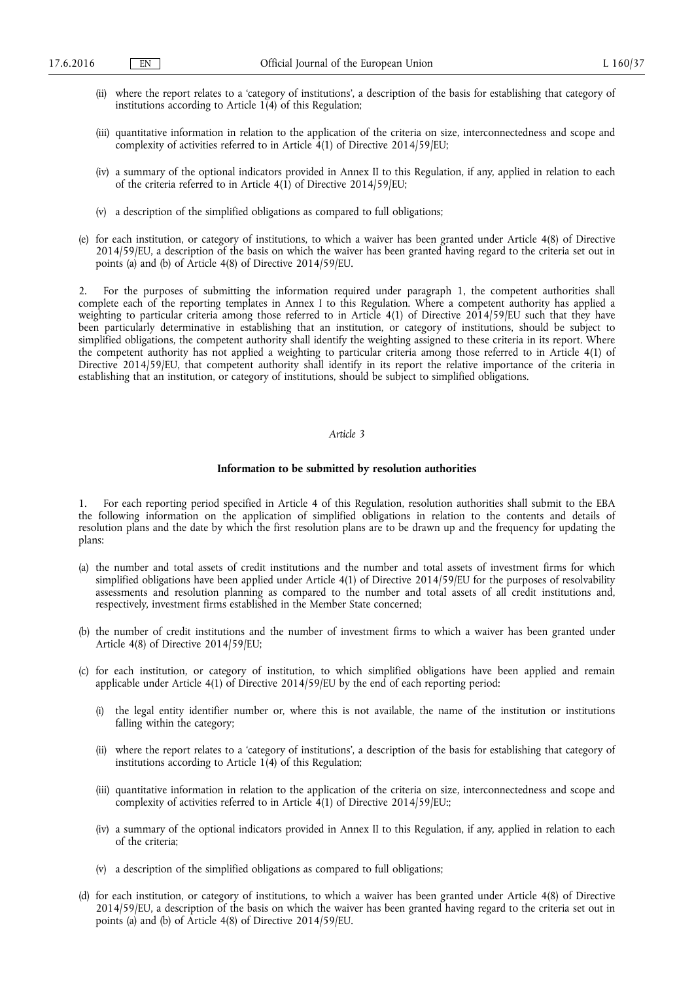- (ii) where the report relates to a 'category of institutions', a description of the basis for establishing that category of institutions according to Article  $1(4)$  of this Regulation;
- (iii) quantitative information in relation to the application of the criteria on size, interconnectedness and scope and complexity of activities referred to in Article  $4(1)$  of Directive 2014/59/EU;
- (iv) a summary of the optional indicators provided in Annex II to this Regulation, if any, applied in relation to each of the criteria referred to in Article  $4(1)$  of Directive 2014/59/EU;
- (v) a description of the simplified obligations as compared to full obligations;
- (e) for each institution, or category of institutions, to which a waiver has been granted under Article 4(8) of Directive 2014/59/EU, a description of the basis on which the waiver has been granted having regard to the criteria set out in points (a) and (b) of Article 4(8) of Directive 2014/59/EU.

2. For the purposes of submitting the information required under paragraph 1, the competent authorities shall complete each of the reporting templates in Annex I to this Regulation. Where a competent authority has applied a weighting to particular criteria among those referred to in Article 4(1) of Directive 2014/59/EU such that they have been particularly determinative in establishing that an institution, or category of institutions, should be subject to simplified obligations, the competent authority shall identify the weighting assigned to these criteria in its report. Where the competent authority has not applied a weighting to particular criteria among those referred to in Article 4(1) of Directive 2014/59/EU, that competent authority shall identify in its report the relative importance of the criteria in establishing that an institution, or category of institutions, should be subject to simplified obligations.

#### *Article 3*

#### **Information to be submitted by resolution authorities**

1. For each reporting period specified in Article 4 of this Regulation, resolution authorities shall submit to the EBA the following information on the application of simplified obligations in relation to the contents and details of resolution plans and the date by which the first resolution plans are to be drawn up and the frequency for updating the plans:

- (a) the number and total assets of credit institutions and the number and total assets of investment firms for which simplified obligations have been applied under Article 4(1) of Directive 2014/59/EU for the purposes of resolvability assessments and resolution planning as compared to the number and total assets of all credit institutions and, respectively, investment firms established in the Member State concerned;
- (b) the number of credit institutions and the number of investment firms to which a waiver has been granted under Article 4(8) of Directive 2014/59/EU;
- (c) for each institution, or category of institution, to which simplified obligations have been applied and remain applicable under Article 4(1) of Directive 2014/59/EU by the end of each reporting period:
	- (i) the legal entity identifier number or, where this is not available, the name of the institution or institutions falling within the category;
	- (ii) where the report relates to a 'category of institutions', a description of the basis for establishing that category of institutions according to Article  $1(4)$  of this Regulation;
	- (iii) quantitative information in relation to the application of the criteria on size, interconnectedness and scope and complexity of activities referred to in Article  $4(1)$  of Directive 2014/59/EU:
	- (iv) a summary of the optional indicators provided in Annex II to this Regulation, if any, applied in relation to each of the criteria;
	- (v) a description of the simplified obligations as compared to full obligations;
- (d) for each institution, or category of institutions, to which a waiver has been granted under Article 4(8) of Directive 2014/59/EU, a description of the basis on which the waiver has been granted having regard to the criteria set out in points (a) and (b) of Article 4(8) of Directive 2014/59/EU.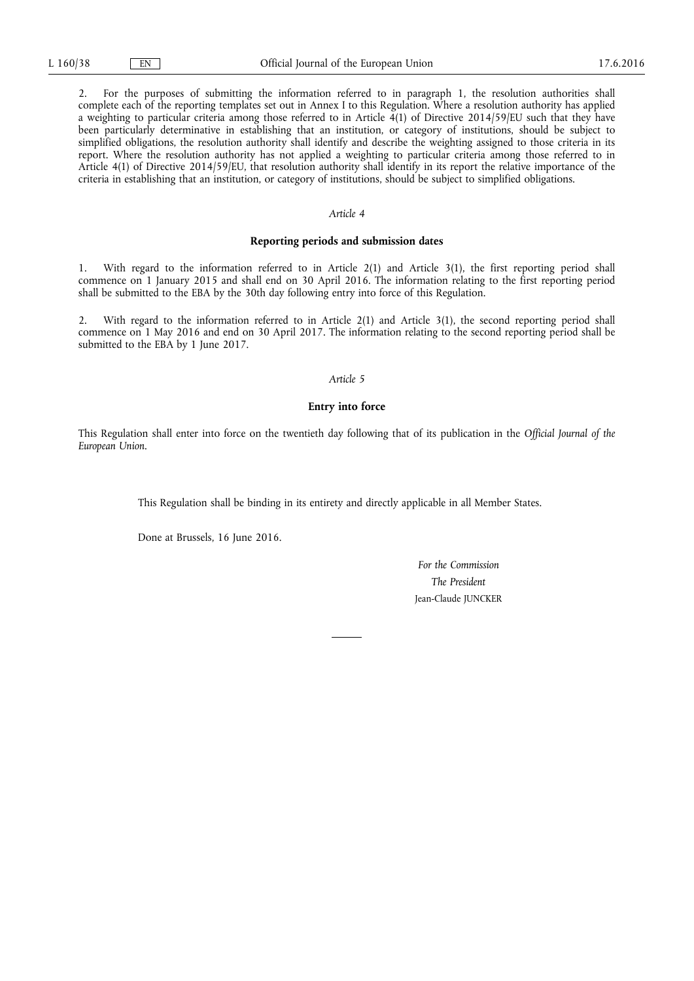2. For the purposes of submitting the information referred to in paragraph 1, the resolution authorities shall complete each of the reporting templates set out in Annex I to this Regulation. Where a resolution authority has applied a weighting to particular criteria among those referred to in Article  $\frac{1}{4}$ (1) of Directive 2014/59/EU such that they have been particularly determinative in establishing that an institution, or category of institutions, should be subject to simplified obligations, the resolution authority shall identify and describe the weighting assigned to those criteria in its report. Where the resolution authority has not applied a weighting to particular criteria among those referred to in Article 4(1) of Directive 2014/59/EU, that resolution authority shall identify in its report the relative importance of the criteria in establishing that an institution, or category of institutions, should be subject to simplified obligations.

### *Article 4*

#### **Reporting periods and submission dates**

1. With regard to the information referred to in Article 2(1) and Article 3(1), the first reporting period shall commence on 1 January 2015 and shall end on 30 April 2016. The information relating to the first reporting period shall be submitted to the EBA by the 30th day following entry into force of this Regulation.

2. With regard to the information referred to in Article 2(1) and Article 3(1), the second reporting period shall commence on 1 May 2016 and end on 30 April 2017. The information relating to the second reporting period shall be submitted to the EBA by 1 June 2017.

#### *Article 5*

#### **Entry into force**

This Regulation shall enter into force on the twentieth day following that of its publication in the *Official Journal of the European Union*.

This Regulation shall be binding in its entirety and directly applicable in all Member States.

Done at Brussels, 16 June 2016.

*For the Commission The President*  Jean-Claude JUNCKER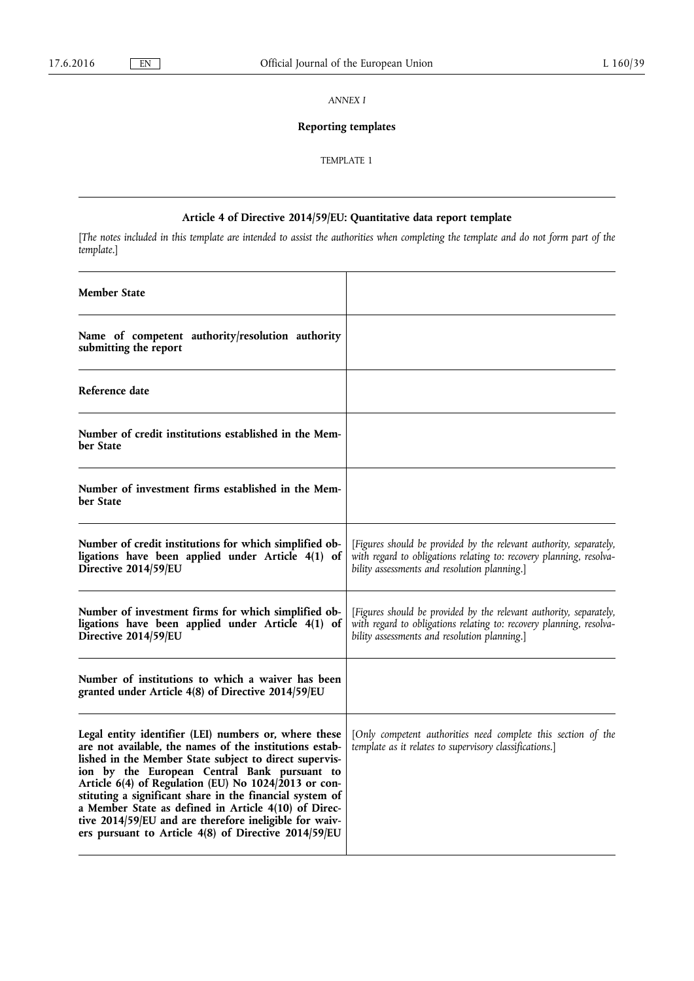*ANNEX I* 

# **Reporting templates**

TEMPLATE 1

# **Article 4 of Directive 2014/59/EU: Quantitative data report template**

[*The notes included in this template are intended to assist the authorities when completing the template and do not form part of the template*.]

 $\top$ 

| <b>Member State</b>                                                                                                                                                                                                                                                                                                                                                                                                                                                                                                      |                                                                                                                                                                                           |
|--------------------------------------------------------------------------------------------------------------------------------------------------------------------------------------------------------------------------------------------------------------------------------------------------------------------------------------------------------------------------------------------------------------------------------------------------------------------------------------------------------------------------|-------------------------------------------------------------------------------------------------------------------------------------------------------------------------------------------|
| Name of competent authority/resolution authority<br>submitting the report                                                                                                                                                                                                                                                                                                                                                                                                                                                |                                                                                                                                                                                           |
| Reference date                                                                                                                                                                                                                                                                                                                                                                                                                                                                                                           |                                                                                                                                                                                           |
| Number of credit institutions established in the Mem-<br>ber State                                                                                                                                                                                                                                                                                                                                                                                                                                                       |                                                                                                                                                                                           |
| Number of investment firms established in the Mem-<br>ber State                                                                                                                                                                                                                                                                                                                                                                                                                                                          |                                                                                                                                                                                           |
| Number of credit institutions for which simplified ob-<br>ligations have been applied under Article 4(1) of<br>Directive 2014/59/EU                                                                                                                                                                                                                                                                                                                                                                                      | [Figures should be provided by the relevant authority, separately,<br>with regard to obligations relating to: recovery planning, resolva-<br>bility assessments and resolution planning.] |
| Number of investment firms for which simplified ob-<br>ligations have been applied under Article 4(1) of<br>Directive 2014/59/EU                                                                                                                                                                                                                                                                                                                                                                                         | [Figures should be provided by the relevant authority, separately,<br>with regard to obligations relating to: recovery planning, resolva-<br>bility assessments and resolution planning.] |
| Number of institutions to which a waiver has been<br>granted under Article 4(8) of Directive 2014/59/EU                                                                                                                                                                                                                                                                                                                                                                                                                  |                                                                                                                                                                                           |
| Legal entity identifier (LEI) numbers or, where these<br>are not available, the names of the institutions estab-<br>lished in the Member State subject to direct supervis-<br>ion by the European Central Bank pursuant to<br>Article 6(4) of Regulation (EU) No 1024/2013 or con-<br>stituting a significant share in the financial system of<br>a Member State as defined in Article 4(10) of Direc-<br>tive 2014/59/EU and are therefore ineligible for waiv-<br>ers pursuant to Article 4(8) of Directive 2014/59/EU | [Only competent authorities need complete this section of the<br>template as it relates to supervisory classifications.]                                                                  |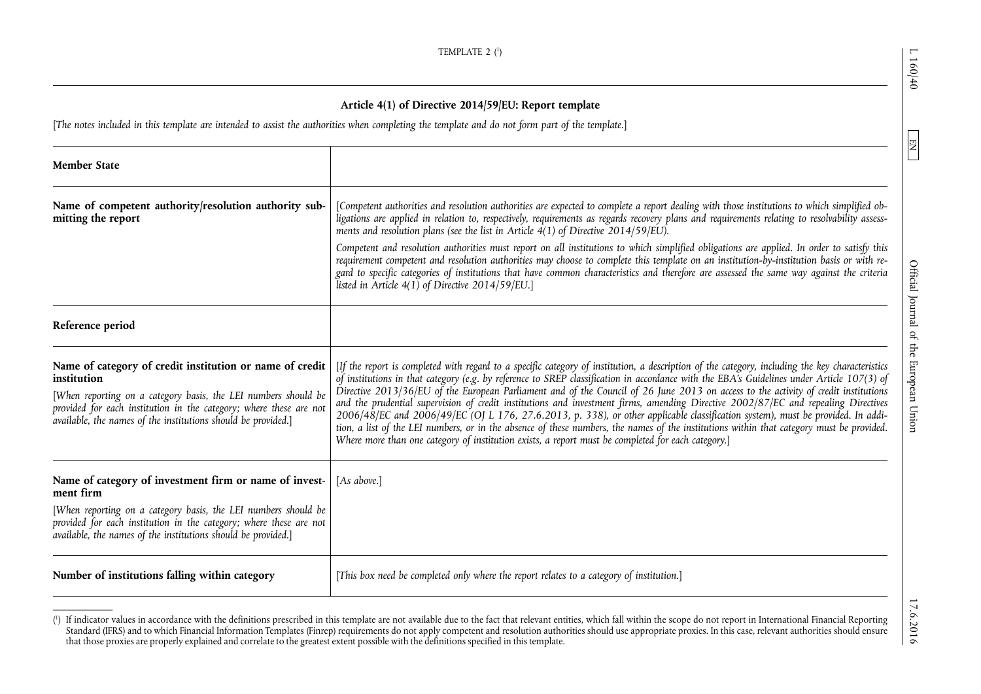$\boxed{\phantom{1}}$ 

Official Journal of the European Union

## **Article 4(1) of Directive 2014/59/EU: Report template**

[*The notes included in this template are intended to assist the authorities when completing the template and do not form part of the template*.]

| <b>Member State</b>                                                                                                                                                                                                                                                              |                                                                                                                                                                                                                                                                                                                                                                                                                                                                                                                                                                                                                                                                                                                                                                                                                                                                                                                                                                  |
|----------------------------------------------------------------------------------------------------------------------------------------------------------------------------------------------------------------------------------------------------------------------------------|------------------------------------------------------------------------------------------------------------------------------------------------------------------------------------------------------------------------------------------------------------------------------------------------------------------------------------------------------------------------------------------------------------------------------------------------------------------------------------------------------------------------------------------------------------------------------------------------------------------------------------------------------------------------------------------------------------------------------------------------------------------------------------------------------------------------------------------------------------------------------------------------------------------------------------------------------------------|
| Name of competent authority/resolution authority sub-<br>mitting the report                                                                                                                                                                                                      | [Competent authorities and resolution authorities are expected to complete a report dealing with those institutions to which simplified ob-<br>ligations are applied in relation to, respectively, requirements as regards recovery plans and requirements relating to resolvability assess-<br>ments and resolution plans (see the list in Article $\widehat{A}(1)$ of Directive 2014/59/EU).<br>Competent and resolution authorities must report on all institutions to which simplified obligations are applied. In order to satisfy this<br>requirement competent and resolution authorities may choose to complete this template on an institution-by-institution basis or with re-<br>gard to specific categories of institutions that have common characteristics and therefore are assessed the same way against the criteria<br>listed in Article $4(1)$ of Directive 2014/59/EU.]                                                                      |
| Reference period                                                                                                                                                                                                                                                                 |                                                                                                                                                                                                                                                                                                                                                                                                                                                                                                                                                                                                                                                                                                                                                                                                                                                                                                                                                                  |
| Name of category of credit institution or name of credit<br>institution<br>[When reporting on a category basis, the LEI numbers should be<br>provided for each institution in the category; where these are not<br>available, the names of the institutions should be provided.] | [If the report is completed with regard to a specific category of institution, a description of the category, including the key characteristics<br>of institutions in that category (e.g. by reference to SREP classification in accordance with the EBA's Guidelines under Article 107(3) of<br>Directive 2013/36/EU of the European Parliament and of the Council of 26 June 2013 on access to the activity of credit institutions<br>and the prudential supervision of credit institutions and investment firms, amending Directive 2002/87/EC and repealing Directives<br>2006/48/EC and 2006/49/EC (OJ L 176, 27.6.2013, p. 338), or other applicable classification system), must be provided. In addi-<br>tion, a list of the LEI numbers, or in the absence of these numbers, the names of the institutions within that category must be provided.<br>Where more than one category of institution exists, a report must be completed for each category.] |
| Name of category of investment firm or name of invest-<br>ment firm<br>[When reporting on a category basis, the LEI numbers should be<br>provided for each institution in the category; where these are not<br>available, the names of the institutions should be provided.]     | [As above.]                                                                                                                                                                                                                                                                                                                                                                                                                                                                                                                                                                                                                                                                                                                                                                                                                                                                                                                                                      |
| Number of institutions falling within category                                                                                                                                                                                                                                   | [This box need be completed only where the report relates to a category of institution.]                                                                                                                                                                                                                                                                                                                                                                                                                                                                                                                                                                                                                                                                                                                                                                                                                                                                         |

<sup>(!)</sup> If indicator values in accordance with the definitions prescribed in this template are not available due to the fact that relevant entities, which fall within the scope do not report in International Financial Reportin Standard (IFRS) and to which Financial Information Templates (Finrep) requirements do not apply competent and resolution authorities should use appropriate proxies. In this case, relevant authorities should ensure that those proxies are properly explained and correlate to the greatest extent possible with the definitions specified in this template.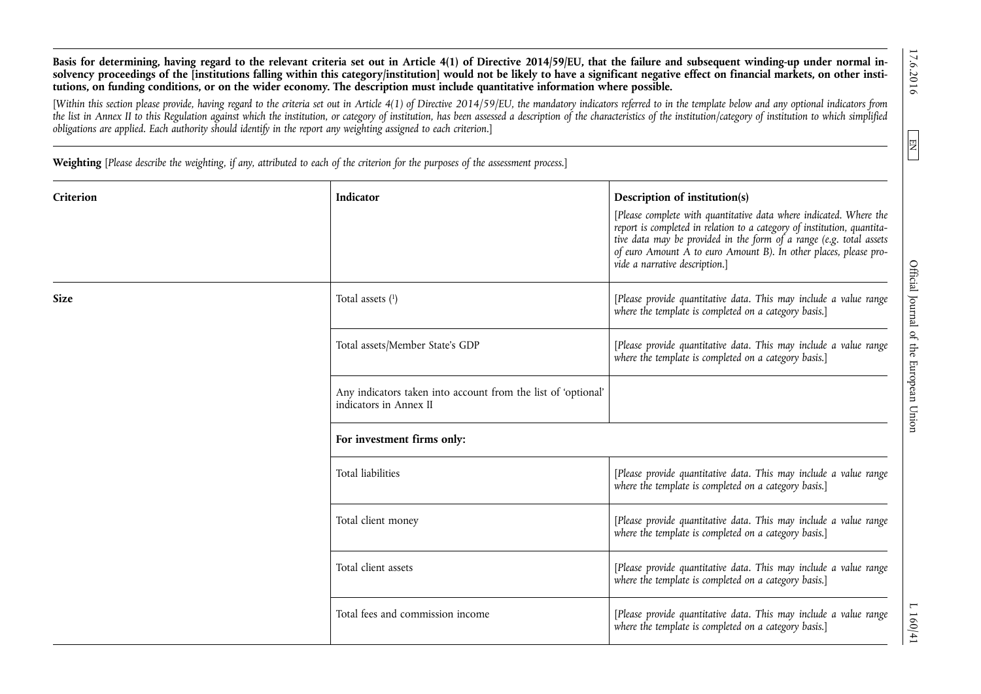17.6.2016

 $\sqrt{H}$ 

160/41

**Basis for determining, having regard to the relevant criteria set out in Article 4(1) of Directive 2014/59/EU, that the failure and subsequent winding-up under normal in**solvency proceedings of the linstitutions falling within this category/institution] would not be likely to have a significant negative effect on financial markets, on other insti**tutions, on funding conditions, or on the wider economy. The description must include quantitative information where possible.** 

[*Within this section please provide, having regard to the criteria set out in Article 4(1) of Directive 2014/59/EU, the mandatory indicators referred to in the template below and any optional indicators from the list in Annex II to this Regulation against which the institution, or category of institution, has been assessed a description of the characteristics of the institution/category of institution to which simplified obligations are applied. Each authority should identify in the report any weighting assigned to each criterion*.]

**Weighting** [*Please describe the weighting, if any, attributed to each of the criterion for the purposes of the assessment process*.]

| Criterion   | Indicator                                                                               | Description of institution(s)<br>[Please complete with quantitative data where indicated. Where the<br>report is completed in relation to a category of institution, quantita-<br>tive data may be provided in the form of a range (e.g. total assets<br>of euro Amount A to euro Amount B). In other places, please pro-<br>vide a narrative description.] |
|-------------|-----------------------------------------------------------------------------------------|-------------------------------------------------------------------------------------------------------------------------------------------------------------------------------------------------------------------------------------------------------------------------------------------------------------------------------------------------------------|
| <b>Size</b> | Total assets $(1)$                                                                      | [Please provide quantitative data. This may include a value range<br>where the template is completed on a category basis.]                                                                                                                                                                                                                                  |
|             | Total assets/Member State's GDP                                                         | [Please provide quantitative data. This may include a value range<br>where the template is completed on a category basis.]                                                                                                                                                                                                                                  |
|             | Any indicators taken into account from the list of 'optional'<br>indicators in Annex II |                                                                                                                                                                                                                                                                                                                                                             |
|             | For investment firms only:                                                              |                                                                                                                                                                                                                                                                                                                                                             |
|             | <b>Total liabilities</b>                                                                | [Please provide quantitative data. This may include a value range<br>where the template is completed on a category basis.]                                                                                                                                                                                                                                  |
|             | Total client money                                                                      | [Please provide quantitative data. This may include a value range<br>where the template is completed on a category basis.]                                                                                                                                                                                                                                  |
|             | Total client assets                                                                     | [Please provide quantitative data. This may include a value range<br>where the template is completed on a category basis.]                                                                                                                                                                                                                                  |
|             | Total fees and commission income                                                        | [Please provide quantitative data. This may include a value range<br>where the template is completed on a category basis.]                                                                                                                                                                                                                                  |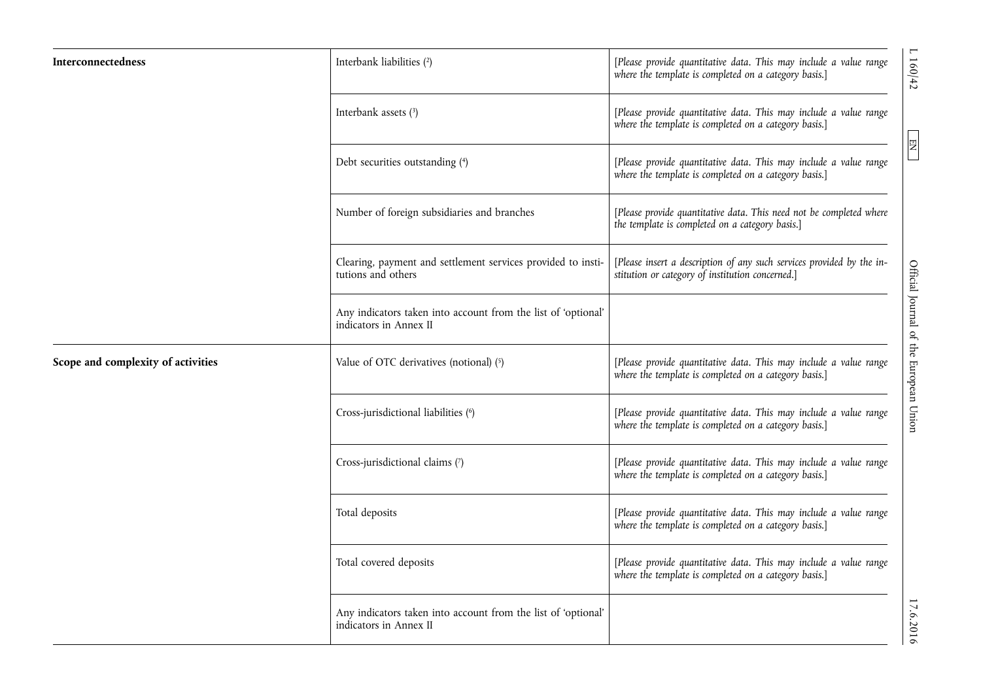| Interconnectedness                 | Interbank liabilities (2)                                                               | [Please provide quantitative data. This may include a value range<br>where the template is completed on a category basis.] |
|------------------------------------|-----------------------------------------------------------------------------------------|----------------------------------------------------------------------------------------------------------------------------|
|                                    | Interbank assets (3)                                                                    | [Please provide quantitative data. This may include a value range<br>where the template is completed on a category basis.] |
|                                    | Debt securities outstanding (4)                                                         | [Please provide quantitative data. This may include a value range<br>where the template is completed on a category basis.] |
|                                    | Number of foreign subsidiaries and branches                                             | [Please provide quantitative data. This need not be completed where<br>the template is completed on a category basis.]     |
|                                    | Clearing, payment and settlement services provided to insti-<br>tutions and others      | [Please insert a description of any such services provided by the in-<br>stitution or category of institution concerned.]  |
|                                    | Any indicators taken into account from the list of 'optional'<br>indicators in Annex II |                                                                                                                            |
| Scope and complexity of activities | Value of OTC derivatives (notional) (5)                                                 | [Please provide quantitative data. This may include a value range<br>where the template is completed on a category basis.] |
|                                    | Cross-jurisdictional liabilities (6)                                                    | [Please provide quantitative data. This may include a value range<br>where the template is completed on a category basis.] |
|                                    | Cross-jurisdictional claims (7)                                                         | [Please provide quantitative data. This may include a value range<br>where the template is completed on a category basis.] |
|                                    | Total deposits                                                                          | [Please provide quantitative data. This may include a value range<br>where the template is completed on a category basis.] |
|                                    | Total covered deposits                                                                  | [Please provide quantitative data. This may include a value range<br>where the template is completed on a category basis.] |
|                                    | Any indicators taken into account from the list of 'optional'<br>indicators in Annex II |                                                                                                                            |

 $17.62$  D  $17.62$  Of  $4$  Official Journal of the European Union END FOR EQUAL OF  $17.62$  Of  $4$  Of  $4$  Of  $4$  Of  $4$  Of  $4$  Of  $4$  Of  $4$  Of  $4$  Of  $4$  Of  $4$  Of  $4$  Of  $4$  Of  $4$  Of  $4$  Of  $4$  Of  $4$  Of  $4$  Of  $4$  Of  $4$ Official Journal of the European Union

 $\boxed{\text{EN}}$ 

 $L 160/42$ 

 $17.6.2016$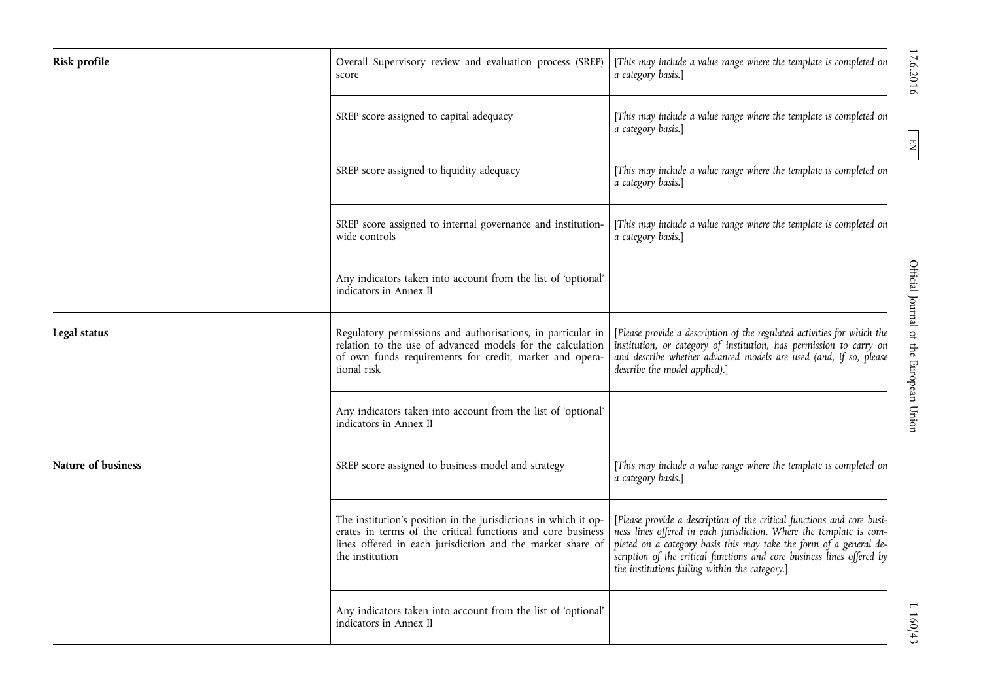| Risk profile       | Overall Supervisory review and evaluation process (SREP)<br>score                                                                                                                                               | [This may include a value range where the template is completed on<br>a category basis.]                                                                                                                                                                                                                                                        | 17.6.2016                              |
|--------------------|-----------------------------------------------------------------------------------------------------------------------------------------------------------------------------------------------------------------|-------------------------------------------------------------------------------------------------------------------------------------------------------------------------------------------------------------------------------------------------------------------------------------------------------------------------------------------------|----------------------------------------|
|                    | SREP score assigned to capital adequacy                                                                                                                                                                         | [This may include a value range where the template is completed on<br>a category basis.]                                                                                                                                                                                                                                                        |                                        |
|                    | SREP score assigned to liquidity adequacy                                                                                                                                                                       | [This may include a value range where the template is completed on<br>a category basis.]                                                                                                                                                                                                                                                        | EN                                     |
|                    | SREP score assigned to internal governance and institution-<br>wide controls                                                                                                                                    | [This may include a value range where the template is completed on<br>a category basis.]                                                                                                                                                                                                                                                        |                                        |
|                    | Any indicators taken into account from the list of 'optional'<br>indicators in Annex II                                                                                                                         |                                                                                                                                                                                                                                                                                                                                                 |                                        |
| Legal status       | Regulatory permissions and authorisations, in particular in<br>relation to the use of advanced models for the calculation<br>of own funds requirements for credit, market and opera-<br>tional risk             | [Please provide a description of the regulated activities for which the<br>institution, or category of institution, has permission to carry on<br>and describe whether advanced models are used (and, if so, please<br>describe the model applied).]                                                                                            | Official Journal of the European Union |
|                    | Any indicators taken into account from the list of 'optional'<br>indicators in Annex II                                                                                                                         |                                                                                                                                                                                                                                                                                                                                                 |                                        |
| Nature of business | SREP score assigned to business model and strategy                                                                                                                                                              | [This may include a value range where the template is completed on<br>a category basis.]                                                                                                                                                                                                                                                        |                                        |
|                    | The institution's position in the jurisdictions in which it op-<br>erates in terms of the critical functions and core business<br>lines offered in each jurisdiction and the market share of<br>the institution | [Please provide a description of the critical functions and core busi-<br>ness lines offered in each jurisdiction. Where the template is com-<br>pleted on a category basis this may take the form of a general de-<br>scription of the critical functions and core business lines offered by<br>the institutions failing within the category.] |                                        |
|                    | Any indicators taken into account from the list of 'optional'<br>indicators in Annex II                                                                                                                         |                                                                                                                                                                                                                                                                                                                                                 | L 160/43                               |

17.6.2016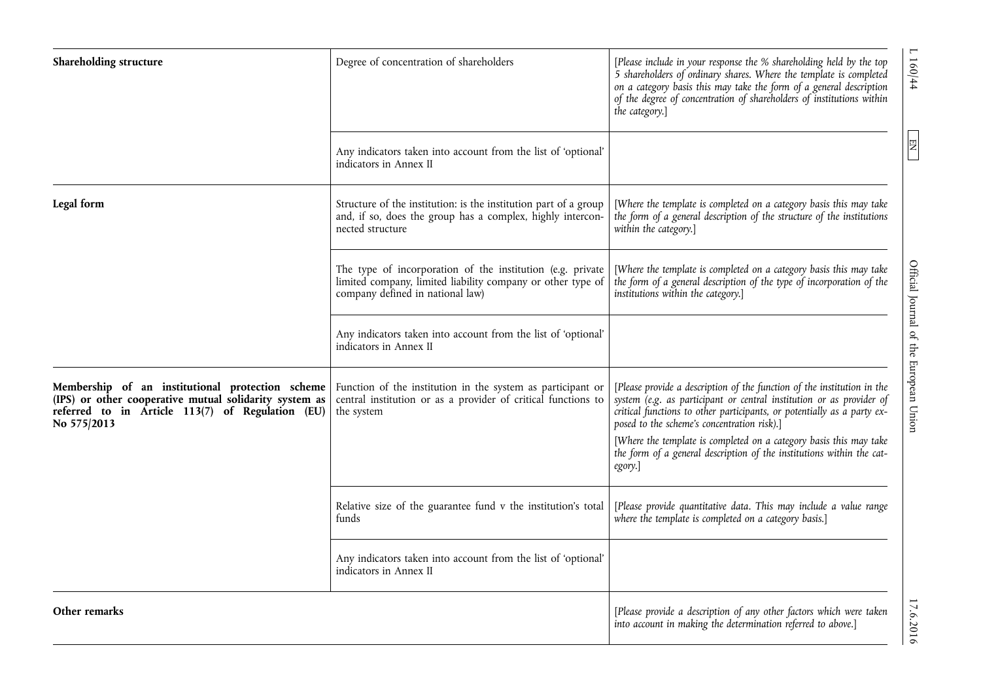| Shareholding structure                                                                                                                                                        | Degree of concentration of shareholders                                                                                                                       | [Please include in your response the % shareholding held by the top<br>5 shareholders of ordinary shares. Where the template is completed<br>on a category basis this may take the form of a general description<br>of the degree of concentration of shareholders of institutions within<br>the category.]                                                                                                                         |
|-------------------------------------------------------------------------------------------------------------------------------------------------------------------------------|---------------------------------------------------------------------------------------------------------------------------------------------------------------|-------------------------------------------------------------------------------------------------------------------------------------------------------------------------------------------------------------------------------------------------------------------------------------------------------------------------------------------------------------------------------------------------------------------------------------|
|                                                                                                                                                                               | Any indicators taken into account from the list of 'optional'<br>indicators in Annex II                                                                       |                                                                                                                                                                                                                                                                                                                                                                                                                                     |
| Legal form                                                                                                                                                                    | Structure of the institution: is the institution part of a group<br>and, if so, does the group has a complex, highly intercon-<br>nected structure            | [Where the template is completed on a category basis this may take<br>the form of a general description of the structure of the institutions<br>within the category.]                                                                                                                                                                                                                                                               |
|                                                                                                                                                                               | The type of incorporation of the institution (e.g. private<br>limited company, limited liability company or other type of<br>company defined in national law) | [Where the template is completed on a category basis this may take<br>the form of a general description of the type of incorporation of the<br>institutions within the category.]                                                                                                                                                                                                                                                   |
|                                                                                                                                                                               | Any indicators taken into account from the list of 'optional'<br>indicators in Annex II                                                                       |                                                                                                                                                                                                                                                                                                                                                                                                                                     |
| Membership of an institutional protection scheme<br>(IPS) or other cooperative mutual solidarity system as<br>referred to in Article 113(7) of Regulation (EU)<br>No 575/2013 | Function of the institution in the system as participant or<br>central institution or as a provider of critical functions to<br>the system                    | [Please provide a description of the function of the institution in the<br>system (e.g. as participant or central institution or as provider of<br>critical functions to other participants, or potentially as a party ex-<br>posed to the scheme's concentration risk).]<br>[Where the template is completed on a category basis this may take<br>the form of a general description of the institutions within the cat-<br>egory.] |
|                                                                                                                                                                               | Relative size of the guarantee fund v the institution's total<br>funds                                                                                        | [Please provide quantitative data. This may include a value range<br>where the template is completed on a category basis.]                                                                                                                                                                                                                                                                                                          |
|                                                                                                                                                                               | Any indicators taken into account from the list of 'optional'<br>indicators in Annex II                                                                       |                                                                                                                                                                                                                                                                                                                                                                                                                                     |
| Other remarks                                                                                                                                                                 |                                                                                                                                                               | [Please provide a description of any other factors which were taken<br>into account in making the determination referred to above.]                                                                                                                                                                                                                                                                                                 |

 $17.6074$  D  $17.6074$  D 17.0.2016 D 17.0.2016 D 17.0.44  $\mu$  D 17.0.44  $\mu$  D 17.0.44  $\mu$ Official Journal of the European Union

 $L 160/44$ 

 $\boxed{\text{EN}}$ 

17.6.2016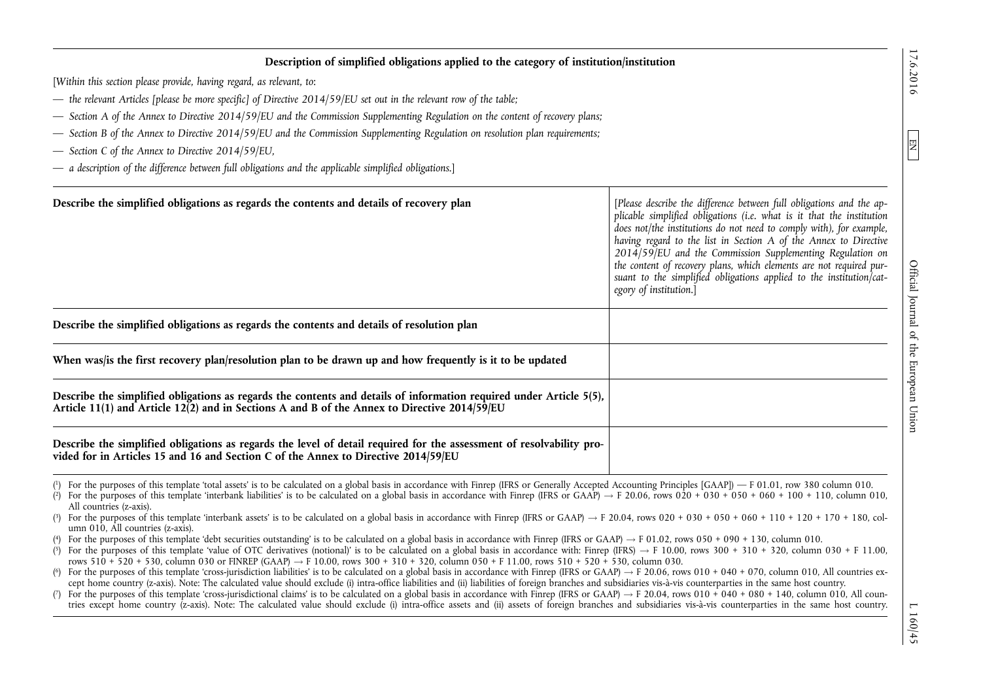EN

## **Description of simplified obligations applied to the category of institution/institution**

[*Within this section please provide, having regard, as relevant, to*:

- *the relevant Articles [please be more specific] of Directive 2014/59/EU set out in the relevant row of the table;*
- *Section A of the Annex to Directive 2014/59/EU and the Commission Supplementing Regulation on the content of recovery plans;*
- *Section B of the Annex to Directive 2014/59/EU and the Commission Supplementing Regulation on resolution plan requirements;*
- *Section C of the Annex to Directive 2014/59/EU,*
- *a description of the difference between full obligations and the applicable simplified obligations*.]

| Describe the simplified obligations as regards the contents and details of recovery plan                                                                                                                            | [Please describe the difference between full obligations and the ap-<br>plicable simplified obligations (i.e. what is it that the institution<br>does not/the institutions do not need to comply with), for example,<br>having regard to the list in Section A of the Annex to Directive<br>$2014/59$ /EU and the Commission Supplementing Regulation on<br>the content of recovery plans, which elements are not required pur-<br>suant to the simplified obligations applied to the institution/cat-<br>egory of institution.] |
|---------------------------------------------------------------------------------------------------------------------------------------------------------------------------------------------------------------------|----------------------------------------------------------------------------------------------------------------------------------------------------------------------------------------------------------------------------------------------------------------------------------------------------------------------------------------------------------------------------------------------------------------------------------------------------------------------------------------------------------------------------------|
| Describe the simplified obligations as regards the contents and details of resolution plan                                                                                                                          |                                                                                                                                                                                                                                                                                                                                                                                                                                                                                                                                  |
| When was/is the first recovery plan/resolution plan to be drawn up and how frequently is it to be updated                                                                                                           |                                                                                                                                                                                                                                                                                                                                                                                                                                                                                                                                  |
| Describe the simplified obligations as regards the contents and details of information required under Article 5(5),<br>Article 11(1) and Article 12(2) and in Sections A and B of the Annex to Directive 2014/59/EU |                                                                                                                                                                                                                                                                                                                                                                                                                                                                                                                                  |
| Describe the simplified obligations as regards the level of detail required for the assessment of resolvability pro-<br>vided for in Articles 15 and 16 and Section C of the Annex to Directive 2014/59/EU          |                                                                                                                                                                                                                                                                                                                                                                                                                                                                                                                                  |

( 1) For the purposes of this template 'total assets' is to be calculated on a global basis in accordance with Finrep (IFRS or Generally Accepted Accounting Principles [GAAP]) — F 01.01, row 380 column 010.

- (?) For the purposes of this template 'interbank liabilities' is to be calculated on a global basis in accordance with Finrep (IFRS or GAAP)  $\rightarrow$  F 20.06, rows 020 + 030 + 050 + 060 + 110, column 010, All countries (z-axis).
- ( For the purposes of this template 'interbank assets' is to be calculated on a global basis in accordance with Finrep (IFRS or GAAP)  $\rightarrow$  F 20.04, rows 020 + 030 + 030 + 050 + 010 + 120 + 170 + 180, column 010, All countries (z-axis).
- (\*) For the purposes of this template 'debt securities outstanding' is to be calculated on a global basis in accordance with Finrep (IFRS or GAAP)  $\rightarrow$  F 01.02, rows 050 + 090 + 130, column 010.

<sup>(5)</sup> For the purposes of this template 'value of OTC derivatives (notional)' is to be calculated on a global basis in accordance with: Finrep (IFRS)  $\rightarrow$  F 10.00, rows 300 + 310 + 320, column 030 + F 11.00, rows  $510 + 520 + 530$ , column 030 or FINREP (GAAP)  $\rightarrow$  F 10.00, rows 300 + 310 + 320, column 050 + F 11.00, rows 510 + 520 + 530, column 030.

 $(6)$ For the purposes of this template 'cross-jurisdiction liabilities' is to be calculated on a global basis in accordance with Finrep (IFRS or GAAP)  $\rightarrow$  F 20.06, rows 010 + 040 + 070, column 010, All countries except home country (z-axis). Note: The calculated value should exclude (i) intra-office liabilities and (ii) liabilities of foreign branches and subsidiaries vis-à-vis counterparties in the same host country.

 $(7)$ For the purposes of this template 'cross-jurisdictional claims' is to be calculated on a global basis in accordance with Finrep (IFRS or GAAP)  $\rightarrow$  F 20.04, rows 010 + 040 + 080 + 140, column 010, All countries except home country (z-axis). Note: The calculated value should exclude (i) intra-office assets and (ii) assets of foreign branches and subsidiaries vis-à-vis counterparties in the same host country.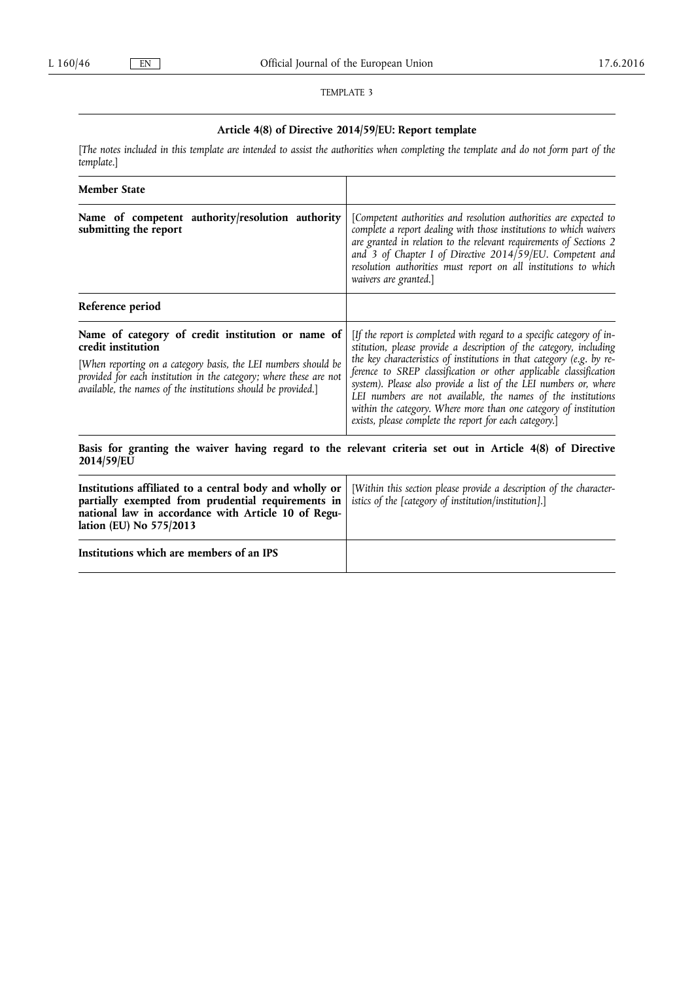### TEMPLATE 3

# **Article 4(8) of Directive 2014/59/EU: Report template**

[*The notes included in this template are intended to assist the authorities when completing the template and do not form part of the template*.]

| <b>Member State</b>                                                                                                                                                                                                                                                              |                                                                                                                                                                                                                                                                                                                                                                                                                                                                                                                                                             |
|----------------------------------------------------------------------------------------------------------------------------------------------------------------------------------------------------------------------------------------------------------------------------------|-------------------------------------------------------------------------------------------------------------------------------------------------------------------------------------------------------------------------------------------------------------------------------------------------------------------------------------------------------------------------------------------------------------------------------------------------------------------------------------------------------------------------------------------------------------|
| Name of competent authority/resolution authority<br>submitting the report                                                                                                                                                                                                        | [Competent authorities and resolution authorities are expected to<br>complete a report dealing with those institutions to which waivers<br>are granted in relation to the relevant requirements of Sections 2<br>and 3 of Chapter I of Directive 2014/59/EU. Competent and<br>resolution authorities must report on all institutions to which<br>waivers are granted.]                                                                                                                                                                                      |
| Reference period                                                                                                                                                                                                                                                                 |                                                                                                                                                                                                                                                                                                                                                                                                                                                                                                                                                             |
| Name of category of credit institution or name of<br>credit institution<br>[When reporting on a category basis, the LEI numbers should be<br>provided for each institution in the category; where these are not<br>available, the names of the institutions should be provided.] | [If the report is completed with regard to a specific category of in-<br>stitution, please provide a description of the category, including<br>the key characteristics of institutions in that category (e.g. by re-<br>ference to SREP classification or other applicable classification<br>system). Please also provide a list of the LEI numbers or, where<br>LEI numbers are not available, the names of the institutions<br>within the category. Where more than one category of institution<br>exists, please complete the report for each category.] |
| 2014/59/EU                                                                                                                                                                                                                                                                       | Basis for granting the waiver having regard to the relevant criteria set out in Article 4(8) of Directive                                                                                                                                                                                                                                                                                                                                                                                                                                                   |
| Institutions affiliated to a central body and wholly or<br>partially exempted from prudential requirements in<br>national law in accordance with Article 10 of Regu-<br>lation (EU) No 575/2013                                                                                  | [Within this section please provide a description of the character-<br>istics of the [category of institution/institution].]                                                                                                                                                                                                                                                                                                                                                                                                                                |
| Institutions which are members of an IPS                                                                                                                                                                                                                                         |                                                                                                                                                                                                                                                                                                                                                                                                                                                                                                                                                             |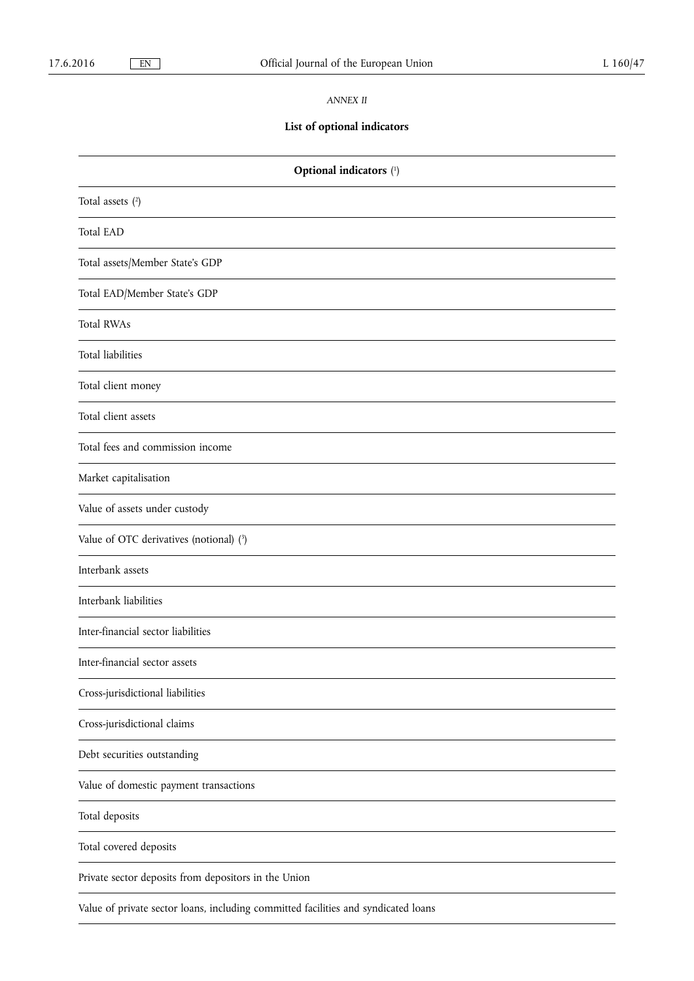### *ANNEX II*

# **List of optional indicators**

| Optional indicators (1)                                                            |  |
|------------------------------------------------------------------------------------|--|
| Total assets $(2)$                                                                 |  |
| <b>Total EAD</b>                                                                   |  |
| Total assets/Member State's GDP                                                    |  |
| Total EAD/Member State's GDP                                                       |  |
| <b>Total RWAs</b>                                                                  |  |
| Total liabilities                                                                  |  |
| Total client money                                                                 |  |
| Total client assets                                                                |  |
| Total fees and commission income                                                   |  |
| Market capitalisation                                                              |  |
| Value of assets under custody                                                      |  |
| Value of OTC derivatives (notional) (3)                                            |  |
| Interbank assets                                                                   |  |
| Interbank liabilities                                                              |  |
| Inter-financial sector liabilities                                                 |  |
| Inter-financial sector assets                                                      |  |
| Cross-jurisdictional liabilities                                                   |  |
| Cross-jurisdictional claims                                                        |  |
| Debt securities outstanding                                                        |  |
| Value of domestic payment transactions                                             |  |
| Total deposits                                                                     |  |
| Total covered deposits                                                             |  |
| Private sector deposits from depositors in the Union                               |  |
| Value of private sector loans, including committed facilities and syndicated loans |  |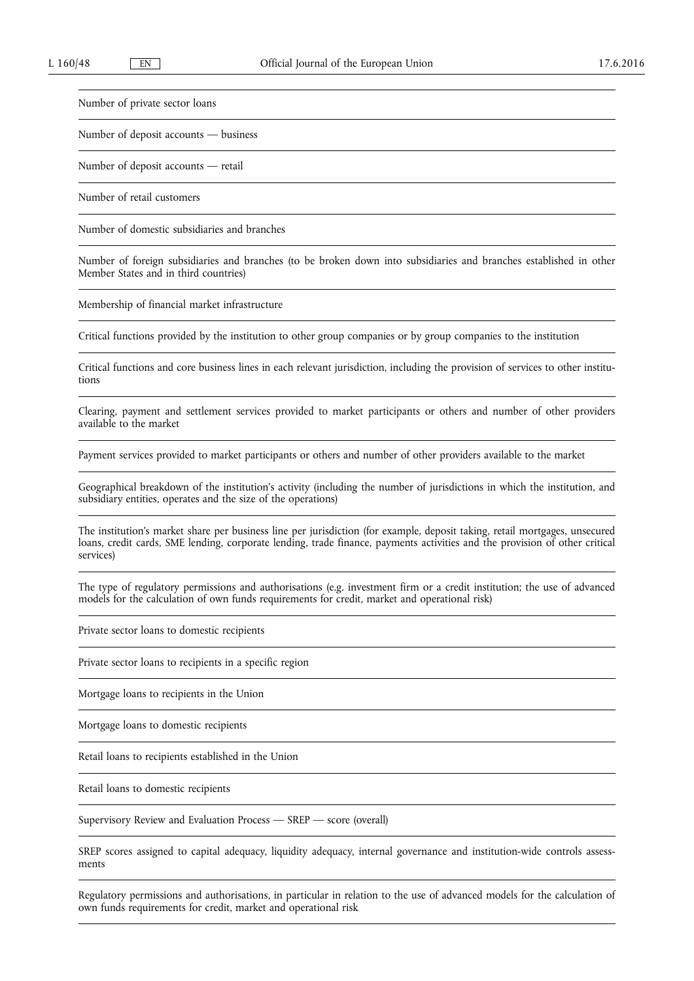Number of private sector loans

Number of deposit accounts — business

Number of deposit accounts — retail

Number of retail customers

Number of domestic subsidiaries and branches

Number of foreign subsidiaries and branches (to be broken down into subsidiaries and branches established in other Member States and in third countries)

Membership of financial market infrastructure

Critical functions provided by the institution to other group companies or by group companies to the institution

Critical functions and core business lines in each relevant jurisdiction, including the provision of services to other institutions

Clearing, payment and settlement services provided to market participants or others and number of other providers available to the market

Payment services provided to market participants or others and number of other providers available to the market

Geographical breakdown of the institution's activity (including the number of jurisdictions in which the institution, and subsidiary entities, operates and the size of the operations)

The institution's market share per business line per jurisdiction (for example, deposit taking, retail mortgages, unsecured loans, credit cards, SME lending, corporate lending, trade finance, payments activities and the provision of other critical services)

The type of regulatory permissions and authorisations (e.g. investment firm or a credit institution; the use of advanced models for the calculation of own funds requirements for credit, market and operational risk)

Private sector loans to domestic recipients

Private sector loans to recipients in a specific region

Mortgage loans to recipients in the Union

Mortgage loans to domestic recipients

Retail loans to recipients established in the Union

Retail loans to domestic recipients

Supervisory Review and Evaluation Process — SREP — score (overall)

SREP scores assigned to capital adequacy, liquidity adequacy, internal governance and institution-wide controls assessments

Regulatory permissions and authorisations, in particular in relation to the use of advanced models for the calculation of own funds requirements for credit, market and operational risk